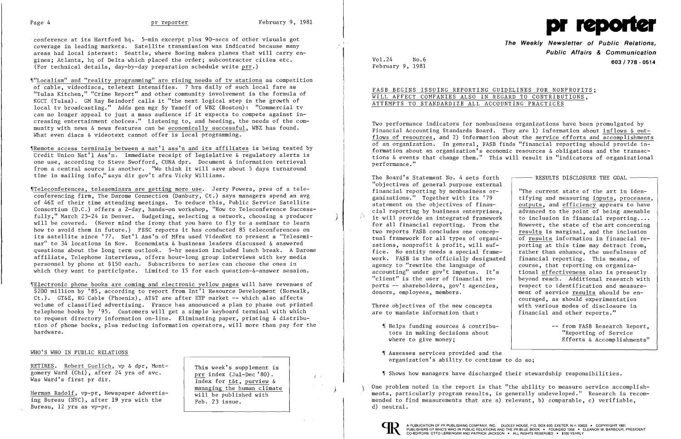

conference at its Hartford hq. 5-min excerpt plus 90-secs of other visuals got coverage in leading markets. Satellite transmission was indicated because many areas had local interest: Seattle, where Boeing makes planes that will carry en gines;Atlanta, hq of Delta which placed the order; subcontractor cities etc. (For technical details, day-by-day preparation schedule write  $prr.$ )

- ~["Localism" and "reality progrannning" are rising needs of tv stations as competition of cable, videodiscs, teletext intensifies. 7 hrs daily of such local fare as "Tulsa Kitchen," "Crime Report" and other connnunity involvement is the formula of KGCT (Tulsa). GM Ray Beindorf calls it "the next logical step in the growth of local tv broadcasting." Adds gen mgr Sy Yanoff of WBZ (Boston): "Commercial tv can no longer appeal to just a mass audience if it expects to compete against increasing entertainment choices." Listening to, and heeding, the needs of the community with news & news features can be economically successful, WBZ has found. What even discs & videotext cannot offer is local programming.
- ~IRemote access terminals between a nat'l ass'n and its affiliates is being tested by Credit Union Nat'l Ass'n. Innnediate receipt of legislative & regulatory alerts is one use, according to Steve Swofford, CUNA dpr. Document & information retrieval from a central source is another. "We think it will save about 5 days turnaround time in mailing info," says dir gov't afrs Vicky Williams.
- ~ITeleconferences, teleseminars are getting more use. Jerry Powers, pres of a teleconferencing firm, The Darome Connection (Danbury, Ct.) says managers spend an avg of 46% of their time attending meetings. To reduce this, Public Service Satellite Consortium (D.C.) offers a 2-day, hands-on workshop, "How to Teleconference Successfully," March 23-24 in Denver. Budgeting, selecting a network, choosing a producer ) will be covered. (Never mind the irony that you have to fly to a seminar to learn how to avoid them in future.) PSSC reports it has conducted 85 teleconferences on its satellite since '77. Nat'l Ass'n of Mfrs used VideoNet to present a "Teleseminar" to 34 locations in Nov. Economists & business leaders discussed & answered questions about the long term outlook. 5-hr session included lunch break. A Darome affiliate, Telephone Interviews, offers hour-long group interviews with key media personnel by phone at \$150 each. Subscribers to series can choose the ones in which they want to participate. Limited to 15 for each question-&-answer session.

Herman Radolf, vp-pr, Newspaper Advertis-<br>  $\begin{array}{c|c} \hline \text{managing the human climate} \\ \hline \text{will be published with} \end{array}$ ing Bureau (NYC), after 19 yrs with the  $\left\vert \right.$  Feb. 23 issue. Bureau, 12 yrs as vp-pr.

Index for t&t, purview &

two reports FASB concludes one concep-<br>tual framework for all types of organi-<br>of results information in financial recourse, that reporting on organizabeyond reach. Additional research with ment of service results should be encouraged, as should experimentation

Efforts & Accomplishments"

~[Electronic phone books are coming and electronic yellow pages will have revenues of \$200 million by '85, according to report from Int'l Resource Development (Norwalk, Ct.). GT&E, RG Cable (Phoenix), AT&T are after EYP market -- which also affects volume of classified advertising. France has announced a plan to phase out printed telephone books by '95. Customers will get a simple keyboard terminal with which to request directory information on-line. Eliminating paper, printing & distribution of phone books, plus reducing information operators, will more than pay for the hardware.

- $\parallel$  Helps funding sources & contribu-  $\parallel$  -- from FASB Research Report, tors in making decisions about  $\begin{array}{c} \text{``Reporting of Service} \\ \text{``Reporting of Service} \\ \text{``Reporting of According to the image.} \end{array}$
- ~I Assesses services provided and the organization's ability to continue to do so;

 $\parallel$  Shows how managers have discharged their stewardship responsibilities.

## WHO'S WHO IN PUBLIC RELATIONS

RETIRES. Robert Guelich, vp & dpr, Mont-<br>
This week's supplement is gomery Ward (Chi), after 24 yrs of svc.<br>Was Ward's first pr dir.<br>Todey for the purview a

> One problem noted in the report is that "the ability to measure service accomplishments, particularly program results, is generally undeveloped." Research is recommended to find measurements that are a) relevant, b) comparable, c) verifiable, d) neutral.



 $I \rightarrow$ 

**The Weekly Newsletter of Public Relations, Public Affairs & Communication**  Vol.24 No.6 **603/178 - <sup>0514</sup>** February 9, 1981

advanced to the point of being amenable

# FASB BEGINS ISSUING REPORTING GUIDELINES FOR NONPROFITS; WILL AFFECT COMPANIES ALSO IN REGARD TO CONTRIBUTIONS, ATTEMPTS TO STANDARDIZE ALL ACCOUNTING PRACTICES

Two performance indicators for nonbusiness organizations have been promulgated by Financial Accounting Standards Board. They are 1) information about inflows & outflows of resources, and 2) information about the service efforts and accomplishments of an organization. In general, FASB finds "financial reporting should provide information about an organization's economic resources & obligations and the transactions & events that change them." This will result in "indicators of organizational performance."

The Board's Statement No. 4 sets forth  $\longleftarrow$  RESULTS DISCLOSURE THE GOAL -"objectives of general purpose external financial reporting by nonbusiness or-<br>ganizations." Together with its '79 fifying and measuring inputs, processes ganizations." Together with its '79 [tifying and measuring inputs, processes, statement on the objectives of finan-<br>statement on the objectives of finan-<br>quantum outputs, and efficiency appears to have statement on the objectives of finan-<br>cial reporting by business enterprises,<br>advanced to the point of being amenable it will provide an integrated framework  $\begin{array}{|l|}$  to inclusion in financial reporting....<br>for all financial reporting. From the  $\begin{array}{|l|} \hline \end{array}$  However, the state of the art concerning for all financial reporting. From the tual framework for all types of organizations, nonprofit  $\delta$  profit, will suf- porting at this time may detract from, fice. No entity needs a special frame-  $\vert$  rather than enhance, the usefulness of work. FASB is the officially designated  $\begin{vmatrix} \text{financial reporting.} \\ \text{conse, that reporting on organiza-} \end{vmatrix}$ accounting" under gov't impetus. It's | tional effectiveness also is presently<br>"client" is the user of financial re- | beyond reach. Additional research with ports -- shareholders, gov't agencies, <br>donors, employees, members.<br>ment of service results should be en-

Three objectives of the new concepts  $\begin{array}{|l|l|} \hline \text{with various modes of discharge in} \end{array}$ <br>are to mandate information that:  $\begin{array}{|l|} \hline \text{final and other reports.} \end{array}$ are to mandate information that: